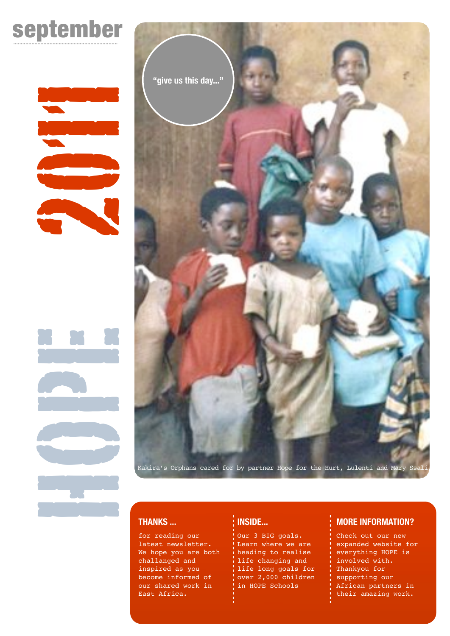# september

# 

HOPE 2011



# **THANKS ...**

for reading our latest newsletter. We hope you are both challanged and inspired as you become informed of our shared work in East Africa.

# **INSIDE...**

Our 3 BIG goals. Learn where we are heading to realise life changing and life long goals for over 2,000 children in HOPE Schools

# **MORE INFORMATION?**

Check out our new expanded website for everything HOPE is involved with. Thankyou for supporting our African partners in their amazing work.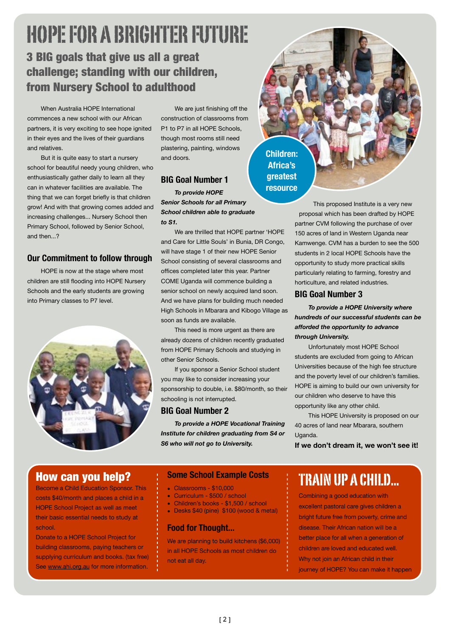# HOPE FOR A BRIGHTER FUTURE 3 BIG goals that give us all a great challenge; standing with our children, from Nursery School to adulthood

When Australia HOPE International commences a new school with our African partners, it is very exciting to see hope ignited in their eyes and the lives of their guardians and relatives.

But it is quite easy to start a nursery school for beautiful needy young children, who enthusiastically gather daily to learn all they can in whatever facilities are available. The thing that we can forget briefly is that children grow! And with that growing comes added and increasing challenges... Nursery School then Primary School, followed by Senior School, and then 2

# **Our Commitment to follow through**

HOPE is now at the stage where most children are still flooding into HOPE Nursery Schools and the early students are growing into Primary classes to P7 level.



We are just finishing off the construction of classrooms from P1 to P7 in all HOPE Schools, though most rooms still need plastering, painting, windows and doors.

# **BIG Goal Number 1**

*To provide HOPE Senior Schools for all Primary School children able to graduate to S1.*

We are thrilled that HOPE partner 'HOPE and Care for Little Souls' in Bunia, DR Congo, will have stage 1 of their new HOPE Senior School consisting of several classrooms and offices completed later this year. Partner COME Uganda will commence building a senior school on newly acquired land soon. And we have plans for building much needed High Schools in Mbarara and Kibogo Village as soon as funds are available.

This need is more urgent as there are already dozens of children recently graduated from HOPE Primary Schools and studying in other Senior Schools.

If you sponsor a Senior School student you may like to consider increasing your sponsorship to double, i.e. \$80/month, so their schooling is not interrupted.

## **BIG Goal Number 2**

*To provide a HOPE Vocational Training Institute for children graduating from S4 or S6 who will not go to University.*

**Children: Africa's greatest resource**

> This proposed Institute is a very new proposal which has been drafted by HOPE partner CVM following the purchase of over 150 acres of land in Western Uganda near Kamwenge. CVM has a burden to see the 500 students in 2 local HOPE Schools have the opportunity to study more practical skills particularly relating to farming, forestry and horticulture, and related industries.

## **BIG Goal Number 3**

*To provide a HOPE University where hundreds of our successful students can be afforded the opportunity to advance through University.*

Unfortunately most HOPE School students are excluded from going to African Universities because of the high fee structure and the poverty level of our children's families. HOPE is aiming to build our own university for our children who deserve to have this opportunity like any other child.

This HOPE University is proposed on our 40 acres of land near Mbarara, southern Uganda.

**If we don't dream it, we won't see it!**

# How can you help?

Become a Child Education Sponsor. This costs \$40/month and places a child in a HOPE School Project as well as meet their basic essential needs to study at school.

Donate to a HOPE School Project for building classrooms, paying teachers or supplying curriculum and books. (tax free) See [www.ahi.org.au](http://www.ahiorg.au) for more information.

## **Some School Example Costs**

- Classrooms \$10,000
- Curriculum \$500 / school
- Children's books \$1,500 / school
- Desks \$40 (pine) \$100 (wood & metal)

# **Food for Thought...**

We are planning to build kitchens (\$6,000) in all HOPE Schools as most children do not eat all day.

# TRAIN UP A CHILD...

Combining a good education with excellent pastoral care gives children a bright future free from poverty, crime and disease. Their African nation will be a better place for all when a generation of children are loved and educated well. Why not join an African child in their journey of HOPE? You can make it happen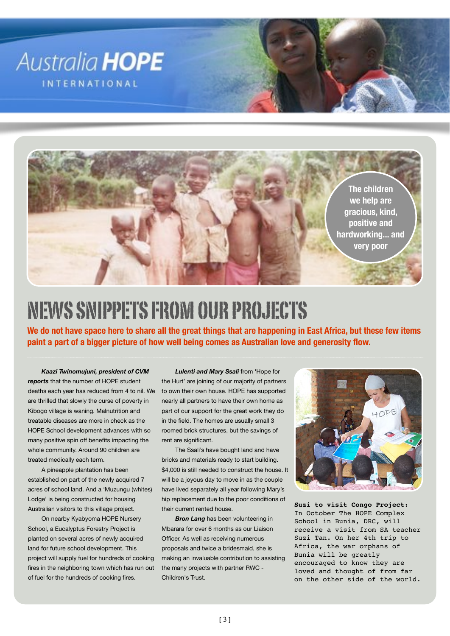

# NEWS SNIPPETS FROM OUR PROJECTS

**We do not have space here to share all the great things that are happening in East Africa, but these few items paint a part of a bigger picture of how well being comes as Australian love and generosity flow.**

*Kaazi Twinomujuni, president of CVM reports* that the number of HOPE student deaths each year has reduced from 4 to nil. We are thrilled that slowly the curse of poverty in Kibogo village is waning. Malnutrition and treatable diseases are more in check as the HOPE School development advances with so many positive spin off benefits impacting the whole community. Around 90 children are treated medically each term.

A pineapple plantation has been established on part of the newly acquired 7 acres of school land. And a 'Muzungu (whites) Lodge' is being constructed for housing Australian visitors to this village project.

On nearby Kyabyoma HOPE Nursery School, a Eucalyptus Forestry Project is planted on several acres of newly acquired land for future school development. This project will supply fuel for hundreds of cooking fires in the neighboring town which has run out of fuel for the hundreds of cooking fires.

*Lulenti and Mary Ssali* from 'Hope for the Hurt' are joining of our majority of partners to own their own house. HOPE has supported nearly all partners to have their own home as part of our support for the great work they do in the field. The homes are usually small 3 roomed brick structures, but the savings of rent are significant.

The Ssali's have bought land and have bricks and materials ready to start building. \$4,000 is still needed to construct the house. It will be a joyous day to move in as the couple have lived separately all year following Mary's hip replacement due to the poor conditions of their current rented house.

**Bron Lang** has been volunteering in Mbarara for over 6 months as our Liaison Officer. As well as receiving numerous proposals and twice a bridesmaid, she is making an invaluable contribution to assisting the many projects with partner RWC - Children's Trust.



**Suzi to visit Congo Project:** In October The HOPE Complex School in Bunia, DRC, will receive a visit from SA teacher Suzi Tan. On her 4th trip to Africa, the war orphans of Bunia will be greatly encouraged to know they are loved and thought of from far on the other side of the world.